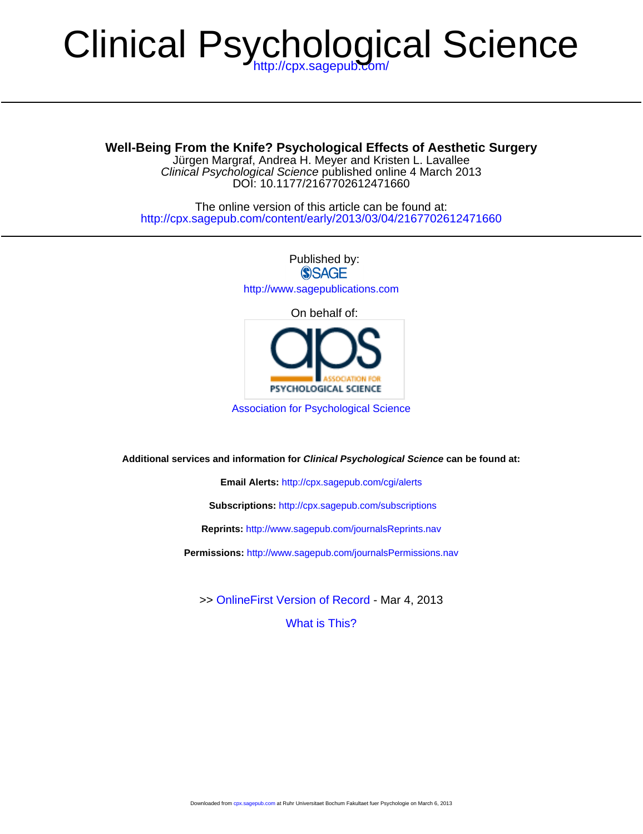# Clinical Psychological Science

### **Well-Being From the Knife? Psychological Effects of Aesthetic Surgery**

DOI: 10.1177/2167702612471660 Clinical Psychological Science published online 4 March 2013 Jürgen Margraf, Andrea H. Meyer and Kristen L. Lavallee

<http://cpx.sagepub.com/content/early/2013/03/04/2167702612471660> The online version of this article can be found at:

> Published by:<br>
> SAGE <http://www.sagepublications.com> On behalf of:



[Association for Psychological Science](http://www.psychologicalscience.org)

**Additional services and information for Clinical Psychological Science can be found at:**

**Email Alerts:** <http://cpx.sagepub.com/cgi/alerts>

**Subscriptions:** <http://cpx.sagepub.com/subscriptions>

**Reprints:** <http://www.sagepub.com/journalsReprints.nav>

**Permissions:** <http://www.sagepub.com/journalsPermissions.nav>

>> [OnlineFirst Version of Record -](http://cpx.sagepub.com/content/early/2013/03/04/2167702612471660.full.pdf) Mar 4, 2013

[What is This?](http://online.sagepub.com/site/sphelp/vorhelp.xhtml)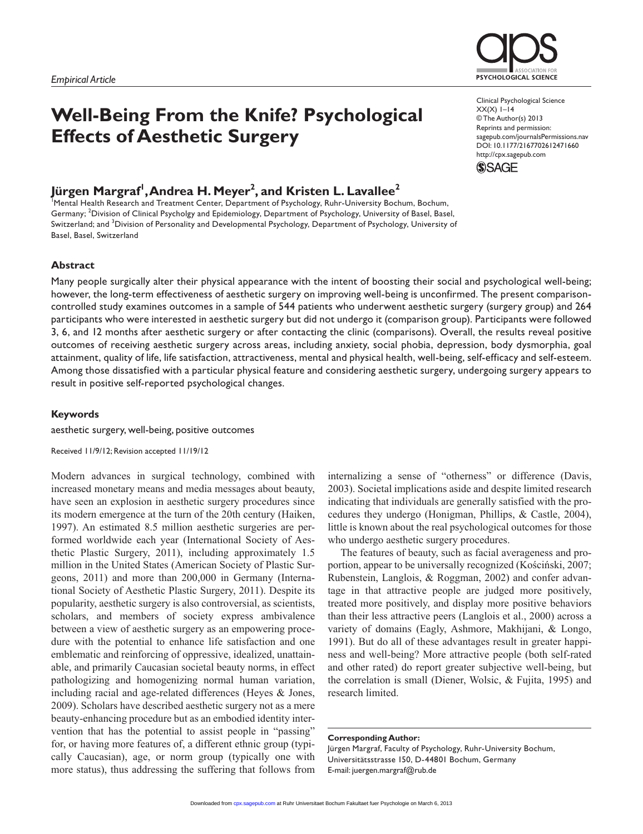# **Well-Being From the Knife? Psychological Effects of Aesthetic Surgery**

## **Jürgen Margraf<sup>I</sup>,Andrea H. Meyer<sup>2</sup>, and Kristen L. Lavallee** $^2$

1 Mental Health Research and Treatment Center, Department of Psychology, Ruhr-University Bochum, Bochum, Germany; <sup>2</sup>Division of Clinical Psycholgy and Epidemiology, Department of Psychology, University of Basel, Basel, Switzerland; and <sup>3</sup>Division of Personality and Developmental Psychology, Department of Psychology, University of Basel, Basel, Switzerland

#### **Abstract**

Many people surgically alter their physical appearance with the intent of boosting their social and psychological well-being; however, the long-term effectiveness of aesthetic surgery on improving well-being is unconfirmed. The present comparisoncontrolled study examines outcomes in a sample of 544 patients who underwent aesthetic surgery (surgery group) and 264 participants who were interested in aesthetic surgery but did not undergo it (comparison group). Participants were followed 3, 6, and 12 months after aesthetic surgery or after contacting the clinic (comparisons). Overall, the results reveal positive outcomes of receiving aesthetic surgery across areas, including anxiety, social phobia, depression, body dysmorphia, goal attainment, quality of life, life satisfaction, attractiveness, mental and physical health, well-being, self-efficacy and self-esteem. Among those dissatisfied with a particular physical feature and considering aesthetic surgery, undergoing surgery appears to result in positive self-reported psychological changes.

#### **Keywords**

aesthetic surgery, well-being, positive outcomes

Received 11/9/12; Revision accepted 11/19/12

Modern advances in surgical technology, combined with increased monetary means and media messages about beauty, have seen an explosion in aesthetic surgery procedures since its modern emergence at the turn of the 20th century (Haiken, 1997). An estimated 8.5 million aesthetic surgeries are performed worldwide each year (International Society of Aesthetic Plastic Surgery, 2011), including approximately 1.5 million in the United States (American Society of Plastic Surgeons, 2011) and more than 200,000 in Germany (International Society of Aesthetic Plastic Surgery, 2011). Despite its popularity, aesthetic surgery is also controversial, as scientists, scholars, and members of society express ambivalence between a view of aesthetic surgery as an empowering procedure with the potential to enhance life satisfaction and one emblematic and reinforcing of oppressive, idealized, unattainable, and primarily Caucasian societal beauty norms, in effect pathologizing and homogenizing normal human variation, including racial and age-related differences (Heyes & Jones, 2009). Scholars have described aesthetic surgery not as a mere beauty-enhancing procedure but as an embodied identity intervention that has the potential to assist people in "passing" for, or having more features of, a different ethnic group (typically Caucasian), age, or norm group (typically one with more status), thus addressing the suffering that follows from

internalizing a sense of "otherness" or difference (Davis, 2003). Societal implications aside and despite limited research indicating that individuals are generally satisfied with the procedures they undergo (Honigman, Phillips, & Castle, 2004), little is known about the real psychological outcomes for those who undergo aesthetic surgery procedures.

The features of beauty, such as facial averageness and proportion, appear to be universally recognized (Kościński, 2007; Rubenstein, Langlois, & Roggman, 2002) and confer advantage in that attractive people are judged more positively, treated more positively, and display more positive behaviors than their less attractive peers (Langlois et al., 2000) across a variety of domains (Eagly, Ashmore, Makhijani, & Longo, 1991). But do all of these advantages result in greater happiness and well-being? More attractive people (both self-rated and other rated) do report greater subjective well-being, but the correlation is small (Diener, Wolsic, & Fujita, 1995) and research limited.

#### **Corresponding Author:**

Jürgen Margraf, Faculty of Psychology, Ruhr-University Bochum, Universitätsstrasse 150, D-44801 Bochum, Germany E-mail: juergen.margraf@rub.de



Clinical Psychological Science  $XX(X)$  1–14 © The Author(s) 2013 Reprints and permission: sagepub.com/journalsPermissions.nav DOI: 10.1177/2167702612471660 http://cpx.sagepub.com

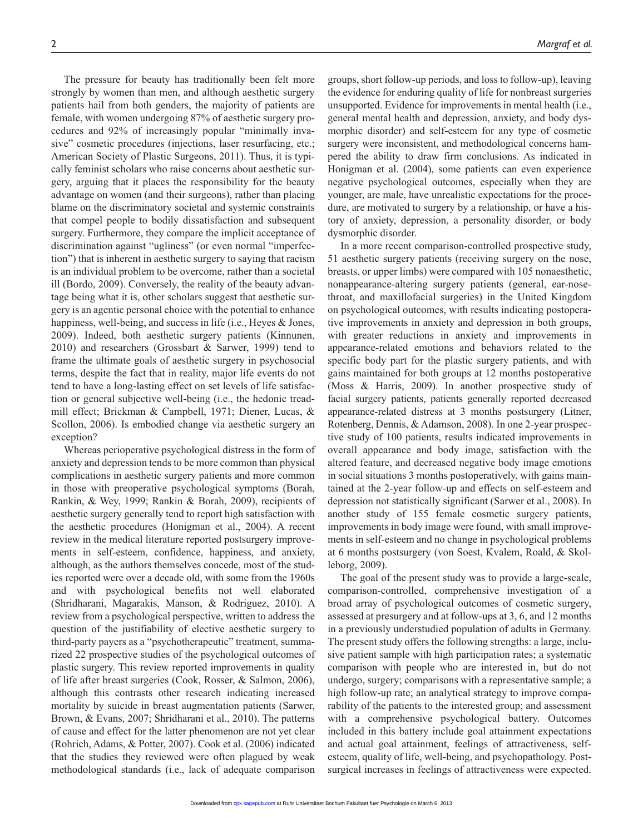The pressure for beauty has traditionally been felt more strongly by women than men, and although aesthetic surgery patients hail from both genders, the majority of patients are female, with women undergoing 87% of aesthetic surgery procedures and 92% of increasingly popular "minimally invasive" cosmetic procedures (injections, laser resurfacing, etc.; American Society of Plastic Surgeons, 2011). Thus, it is typically feminist scholars who raise concerns about aesthetic surgery, arguing that it places the responsibility for the beauty advantage on women (and their surgeons), rather than placing blame on the discriminatory societal and systemic constraints that compel people to bodily dissatisfaction and subsequent surgery. Furthermore, they compare the implicit acceptance of discrimination against "ugliness" (or even normal "imperfection") that is inherent in aesthetic surgery to saying that racism is an individual problem to be overcome, rather than a societal ill (Bordo, 2009). Conversely, the reality of the beauty advantage being what it is, other scholars suggest that aesthetic surgery is an agentic personal choice with the potential to enhance happiness, well-being, and success in life (i.e., Heyes & Jones, 2009). Indeed, both aesthetic surgery patients (Kinnunen, 2010) and researchers (Grossbart & Sarwer, 1999) tend to frame the ultimate goals of aesthetic surgery in psychosocial terms, despite the fact that in reality, major life events do not tend to have a long-lasting effect on set levels of life satisfaction or general subjective well-being (i.e., the hedonic treadmill effect; Brickman & Campbell, 1971; Diener, Lucas, & Scollon, 2006). Is embodied change via aesthetic surgery an exception?

Whereas perioperative psychological distress in the form of anxiety and depression tends to be more common than physical complications in aesthetic surgery patients and more common in those with preoperative psychological symptoms (Borah, Rankin, & Wey, 1999; Rankin & Borah, 2009), recipients of aesthetic surgery generally tend to report high satisfaction with the aesthetic procedures (Honigman et al., 2004). A recent review in the medical literature reported postsurgery improvements in self-esteem, confidence, happiness, and anxiety, although, as the authors themselves concede, most of the studies reported were over a decade old, with some from the 1960s and with psychological benefits not well elaborated (Shridharani, Magarakis, Manson, & Rodriguez, 2010). A review from a psychological perspective, written to address the question of the justifiability of elective aesthetic surgery to third-party payers as a "psychotherapeutic" treatment, summarized 22 prospective studies of the psychological outcomes of plastic surgery. This review reported improvements in quality of life after breast surgeries (Cook, Rosser, & Salmon, 2006), although this contrasts other research indicating increased mortality by suicide in breast augmentation patients (Sarwer, Brown, & Evans, 2007; Shridharani et al., 2010). The patterns of cause and effect for the latter phenomenon are not yet clear (Rohrich, Adams, & Potter, 2007). Cook et al. (2006) indicated that the studies they reviewed were often plagued by weak methodological standards (i.e., lack of adequate comparison

groups, short follow-up periods, and loss to follow-up), leaving the evidence for enduring quality of life for nonbreast surgeries unsupported. Evidence for improvements in mental health (i.e., general mental health and depression, anxiety, and body dysmorphic disorder) and self-esteem for any type of cosmetic surgery were inconsistent, and methodological concerns hampered the ability to draw firm conclusions. As indicated in Honigman et al. (2004), some patients can even experience negative psychological outcomes, especially when they are younger, are male, have unrealistic expectations for the procedure, are motivated to surgery by a relationship, or have a history of anxiety, depression, a personality disorder, or body dysmorphic disorder.

In a more recent comparison-controlled prospective study, 51 aesthetic surgery patients (receiving surgery on the nose, breasts, or upper limbs) were compared with 105 nonaesthetic, nonappearance-altering surgery patients (general, ear-nosethroat, and maxillofacial surgeries) in the United Kingdom on psychological outcomes, with results indicating postoperative improvements in anxiety and depression in both groups, with greater reductions in anxiety and improvements in appearance-related emotions and behaviors related to the specific body part for the plastic surgery patients, and with gains maintained for both groups at 12 months postoperative (Moss & Harris, 2009). In another prospective study of facial surgery patients, patients generally reported decreased appearance-related distress at 3 months postsurgery (Litner, Rotenberg, Dennis, & Adamson, 2008). In one 2-year prospective study of 100 patients, results indicated improvements in overall appearance and body image, satisfaction with the altered feature, and decreased negative body image emotions in social situations 3 months postoperatively, with gains maintained at the 2-year follow-up and effects on self-esteem and depression not statistically significant (Sarwer et al., 2008). In another study of 155 female cosmetic surgery patients, improvements in body image were found, with small improvements in self-esteem and no change in psychological problems at 6 months postsurgery (von Soest, Kvalem, Roald, & Skolleborg, 2009).

The goal of the present study was to provide a large-scale, comparison-controlled, comprehensive investigation of a broad array of psychological outcomes of cosmetic surgery, assessed at presurgery and at follow-ups at 3, 6, and 12 months in a previously understudied population of adults in Germany. The present study offers the following strengths: a large, inclusive patient sample with high participation rates; a systematic comparison with people who are interested in, but do not undergo, surgery; comparisons with a representative sample; a high follow-up rate; an analytical strategy to improve comparability of the patients to the interested group; and assessment with a comprehensive psychological battery. Outcomes included in this battery include goal attainment expectations and actual goal attainment, feelings of attractiveness, selfesteem, quality of life, well-being, and psychopathology. Postsurgical increases in feelings of attractiveness were expected.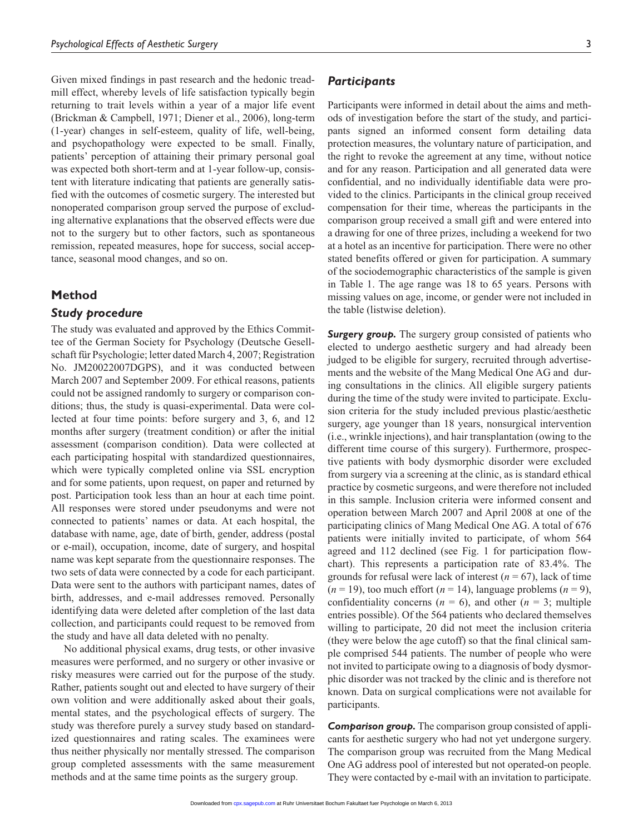Given mixed findings in past research and the hedonic treadmill effect, whereby levels of life satisfaction typically begin returning to trait levels within a year of a major life event (Brickman & Campbell, 1971; Diener et al., 2006), long-term (1-year) changes in self-esteem, quality of life, well-being, and psychopathology were expected to be small. Finally, patients' perception of attaining their primary personal goal was expected both short-term and at 1-year follow-up, consistent with literature indicating that patients are generally satisfied with the outcomes of cosmetic surgery. The interested but nonoperated comparison group served the purpose of excluding alternative explanations that the observed effects were due not to the surgery but to other factors, such as spontaneous remission, repeated measures, hope for success, social acceptance, seasonal mood changes, and so on.

#### **Method**

#### *Study procedure*

The study was evaluated and approved by the Ethics Committee of the German Society for Psychology (Deutsche Gesellschaft für Psychologie; letter dated March 4, 2007; Registration No. JM20022007DGPS), and it was conducted between March 2007 and September 2009. For ethical reasons, patients could not be assigned randomly to surgery or comparison conditions; thus, the study is quasi-experimental. Data were collected at four time points: before surgery and 3, 6, and 12 months after surgery (treatment condition) or after the initial assessment (comparison condition). Data were collected at each participating hospital with standardized questionnaires, which were typically completed online via SSL encryption and for some patients, upon request, on paper and returned by post. Participation took less than an hour at each time point. All responses were stored under pseudonyms and were not connected to patients' names or data. At each hospital, the database with name, age, date of birth, gender, address (postal or e-mail), occupation, income, date of surgery, and hospital name was kept separate from the questionnaire responses. The two sets of data were connected by a code for each participant. Data were sent to the authors with participant names, dates of birth, addresses, and e-mail addresses removed. Personally identifying data were deleted after completion of the last data collection, and participants could request to be removed from the study and have all data deleted with no penalty.

No additional physical exams, drug tests, or other invasive measures were performed, and no surgery or other invasive or risky measures were carried out for the purpose of the study. Rather, patients sought out and elected to have surgery of their own volition and were additionally asked about their goals, mental states, and the psychological effects of surgery. The study was therefore purely a survey study based on standardized questionnaires and rating scales. The examinees were thus neither physically nor mentally stressed. The comparison group completed assessments with the same measurement methods and at the same time points as the surgery group.

#### *Participants*

Participants were informed in detail about the aims and methods of investigation before the start of the study, and participants signed an informed consent form detailing data protection measures, the voluntary nature of participation, and the right to revoke the agreement at any time, without notice and for any reason. Participation and all generated data were confidential, and no individually identifiable data were provided to the clinics. Participants in the clinical group received compensation for their time, whereas the participants in the comparison group received a small gift and were entered into a drawing for one of three prizes, including a weekend for two at a hotel as an incentive for participation. There were no other stated benefits offered or given for participation. A summary of the sociodemographic characteristics of the sample is given in Table 1. The age range was 18 to 65 years. Persons with missing values on age, income, or gender were not included in the table (listwise deletion).

*Surgery group.* The surgery group consisted of patients who elected to undergo aesthetic surgery and had already been judged to be eligible for surgery, recruited through advertisements and the website of the Mang Medical One AG and during consultations in the clinics. All eligible surgery patients during the time of the study were invited to participate. Exclusion criteria for the study included previous plastic/aesthetic surgery, age younger than 18 years, nonsurgical intervention (i.e., wrinkle injections), and hair transplantation (owing to the different time course of this surgery). Furthermore, prospective patients with body dysmorphic disorder were excluded from surgery via a screening at the clinic, as is standard ethical practice by cosmetic surgeons, and were therefore not included in this sample. Inclusion criteria were informed consent and operation between March 2007 and April 2008 at one of the participating clinics of Mang Medical One AG. A total of 676 patients were initially invited to participate, of whom 564 agreed and 112 declined (see Fig. 1 for participation flowchart). This represents a participation rate of 83.4%. The grounds for refusal were lack of interest  $(n = 67)$ , lack of time  $(n = 19)$ , too much effort  $(n = 14)$ , language problems  $(n = 9)$ , confidentiality concerns  $(n = 6)$ , and other  $(n = 3)$ ; multiple entries possible). Of the 564 patients who declared themselves willing to participate, 20 did not meet the inclusion criteria (they were below the age cutoff) so that the final clinical sample comprised 544 patients. The number of people who were not invited to participate owing to a diagnosis of body dysmorphic disorder was not tracked by the clinic and is therefore not known. Data on surgical complications were not available for participants.

*Comparison group.* The comparison group consisted of applicants for aesthetic surgery who had not yet undergone surgery. The comparison group was recruited from the Mang Medical One AG address pool of interested but not operated-on people. They were contacted by e-mail with an invitation to participate.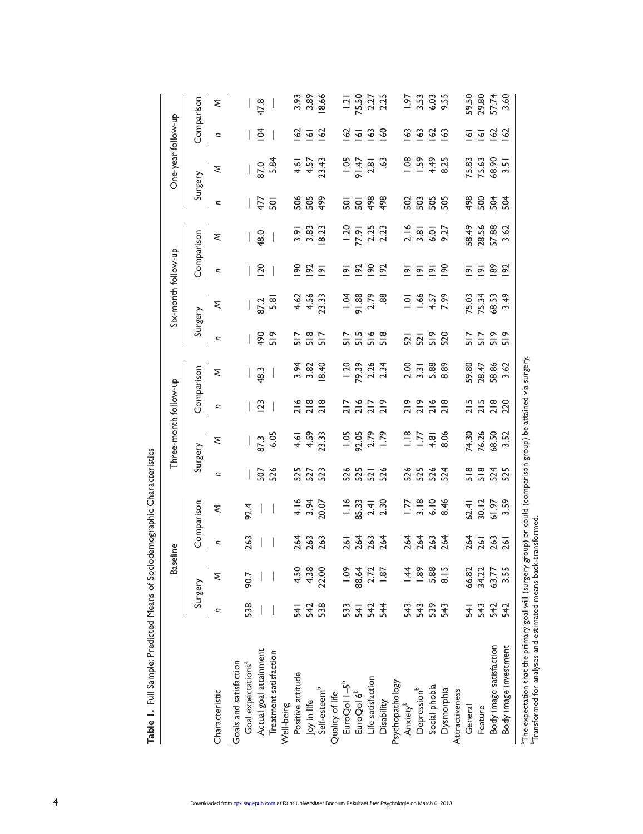|                                                                                                                                     |                 |               | <b>Baseline</b> |                                                             |                            | Three-month follow-up        |                                           |                            |                                          | Six-month follow-up        |                    |                                      |             | One-year follow-up          |                 |                                       |
|-------------------------------------------------------------------------------------------------------------------------------------|-----------------|---------------|-----------------|-------------------------------------------------------------|----------------------------|------------------------------|-------------------------------------------|----------------------------|------------------------------------------|----------------------------|--------------------|--------------------------------------|-------------|-----------------------------|-----------------|---------------------------------------|
|                                                                                                                                     |                 | Surgery       |                 | Comparison                                                  |                            | Surgery                      | Comparison                                |                            | Surgery                                  |                            | Comparison         |                                      | Surgery     |                             | Comparison      |                                       |
| Characteristic                                                                                                                      | n               | Σ             | n               | ξ                                                           | ς                          | Σ                            | ς                                         | ξ                          | ς                                        | ξ                          | n                  | ξ                                    | Ξ           | ξ                           | ς               | ξ                                     |
| Goals and satisfaction                                                                                                              |                 |               |                 |                                                             |                            |                              |                                           |                            |                                          |                            |                    |                                      |             |                             |                 |                                       |
| Goal expectations <sup>a</sup>                                                                                                      | 538             | 506           | 263             | 92.4                                                        |                            |                              |                                           |                            |                                          |                            |                    |                                      |             |                             |                 |                                       |
| Actual goal attainment                                                                                                              |                 |               |                 | $\overline{\phantom{a}}$                                    | 507                        | 87.3<br>6.05                 | 123                                       | 48.3                       | 490<br>519                               | 87.2<br>5.81               | $\overline{20}$    | 48.0                                 | 477         | 87.0<br>5.84                | $\overline{5}$  | 47.8                                  |
| Treatment satisfaction                                                                                                              |                 |               |                 | $\overline{\phantom{a}}$                                    | 526                        |                              |                                           |                            |                                          |                            |                    |                                      | 501         |                             |                 |                                       |
| Well-being                                                                                                                          |                 |               |                 |                                                             |                            |                              |                                           |                            |                                          |                            |                    |                                      |             |                             |                 |                                       |
| Positive attitude                                                                                                                   | $\frac{4}{5}$   | 4.50          | 264             |                                                             |                            |                              |                                           |                            |                                          |                            | $\frac{8}{ }$      | 3.9                                  |             |                             | $\overline{5}$  |                                       |
| Joy in life                                                                                                                         | 542             | 4.38          | 263             |                                                             | 525<br>527                 |                              | $\frac{6}{2}$ $\frac{8}{2}$ $\frac{8}{2}$ | 3.82<br>2.93               | $\frac{78}{58}$<br>5<br>5<br>5<br>5<br>5 |                            | $rac{5}{2}$        | 3.83                                 | 505<br>505  | $4.61$<br>$4.57$<br>$23.43$ | $\overline{2}$  | 3.89<br>3.89                          |
| Self-esteem <sup>b</sup>                                                                                                            | 538             | 22.00         | 263             | 4.16<br>3.94<br>20.07                                       |                            | $4.61$<br>$4.59$<br>$2.33$   |                                           | 8.40                       |                                          | $4.62$<br>$4.56$<br>$2.33$ |                    | 18.23                                | 499         |                             | $\overline{62}$ | 8.66                                  |
| Quality of life                                                                                                                     |                 |               |                 |                                                             |                            |                              |                                           |                            |                                          |                            |                    |                                      |             |                             |                 |                                       |
| EuroQol $1-5^b$                                                                                                                     | 533             | 60.1          | 261             |                                                             |                            |                              |                                           |                            |                                          |                            | ᅙ                  |                                      |             |                             | 162             |                                       |
| EuroQol 6 <sup>b</sup>                                                                                                              | $\overline{54}$ | 88.64         | 264             | $1.16$<br>$2.33$<br>$2.30$<br>$2.30$                        | 525<br>525<br>526          | 1.05<br>2.05<br>2.79<br>2.79 | 215<br>215<br>219                         | $1.20$<br>$7.34$<br>$2.34$ | 5 15 16 16<br>5 15 16 17                 | $1.04$<br>91.88<br>2.79    |                    | $1.20$<br>$77.31$<br>$2.23$          | នី ខ្លី ទឹ  | $1.05$<br>91.47<br>2.81     | $\overline{9}$  | $1.21$<br>$75.50$<br>$2.27$<br>$2.25$ |
| Life satisfaction                                                                                                                   | 542             | 2.72          | 263             |                                                             |                            |                              |                                           |                            |                                          |                            | $\frac{6}{2}$      |                                      |             |                             | 163             |                                       |
| Disability                                                                                                                          | 544             | $\frac{1}{2}$ | 264             |                                                             |                            |                              |                                           |                            |                                          | <b>88</b>                  | 92                 |                                      | 498         | $\ddot{\mathcal{S}}$        | $\frac{60}{2}$  |                                       |
| Psychopathology                                                                                                                     |                 |               |                 |                                                             |                            |                              |                                           |                            |                                          |                            |                    |                                      |             |                             |                 |                                       |
| Anxiety <sup>b</sup>                                                                                                                | 543             | 4.            | 264             |                                                             |                            | $\frac{8}{1}$                |                                           |                            | 521                                      | $\bar{S}$                  | $\overline{\circ}$ |                                      |             | 0.08                        | $\overline{63}$ | $\frac{1}{2}$                         |
| Depression <sup>b</sup>                                                                                                             | 543             | .89           | 264             |                                                             |                            | Г.                           |                                           |                            |                                          |                            | $\overline{\circ}$ |                                      |             | 1.59                        | $\frac{63}{2}$  |                                       |
| Social phobia                                                                                                                       | 539             | 5.88          | 263             | $1.77$<br>$3.18$<br>$6.46$<br>$8.46$                        | 525<br>524<br>524          | $4.81$<br>8.06               | 219<br>216<br>218                         | 0.77888                    | $519$<br>$519$                           | $-4.59$<br>7.52            | $rac{1}{2}$        | $2.16$<br>$3.81$<br>$6.01$<br>$9.27$ | <b>3355</b> |                             | 162             | 53<br>535<br>95                       |
| Dysmorphia                                                                                                                          | 543             | 8.15          | 264             |                                                             |                            |                              |                                           |                            |                                          |                            |                    |                                      |             | $4.49$<br>8.25              | 163             |                                       |
| Attractiveness                                                                                                                      |                 |               |                 |                                                             |                            |                              |                                           |                            |                                          |                            |                    |                                      |             |                             |                 |                                       |
| General                                                                                                                             | 541             | 66.82         | 264             |                                                             |                            |                              |                                           |                            | 517                                      |                            | ᅙ                  |                                      | 498         |                             | ⊽_              |                                       |
| Feature                                                                                                                             | 543             | 34.22         | 261             | 62.41<br>30.12<br>3.59<br>3.59                              | 5 18 25<br>5 19 25<br>5 25 | 74.36<br>76.36<br>76.30.37   | 15<br>218<br>220                          | 59.80<br>28.47             | 517                                      | 15.34<br>15.34<br>15.94    | $\overline{\circ}$ | 58.56<br>28.58<br>57.62              |             | 75.63<br>75.69<br>83.51     | $\overline{2}$  | 59.50<br>29.87<br>57.74<br>3.60       |
| Body image satisfaction                                                                                                             | 542             | 63.77         | 263             |                                                             |                            |                              |                                           | 58.86<br>3.62              | 519                                      |                            | $\frac{89}{2}$     |                                      | 884         |                             | $\overline{62}$ |                                       |
| Body image investment                                                                                                               | 542             | 3.55          | 26              |                                                             |                            |                              |                                           |                            |                                          |                            | 192                |                                      |             |                             | 162             |                                       |
| <sup>b</sup> Transformed for analyses and estimated means back-transformed<br>a The expectation that the primary goal will (surgery |                 |               |                 | group) or could (comparison group) be attained via surgery. |                            |                              |                                           |                            |                                          |                            |                    |                                      |             |                             |                 |                                       |

Table 1. Full Sample: Predicted Means of Sociodemographic Characteristics **Table 1.** Full Sample: Predicted Means of Sociodemographic Characteristics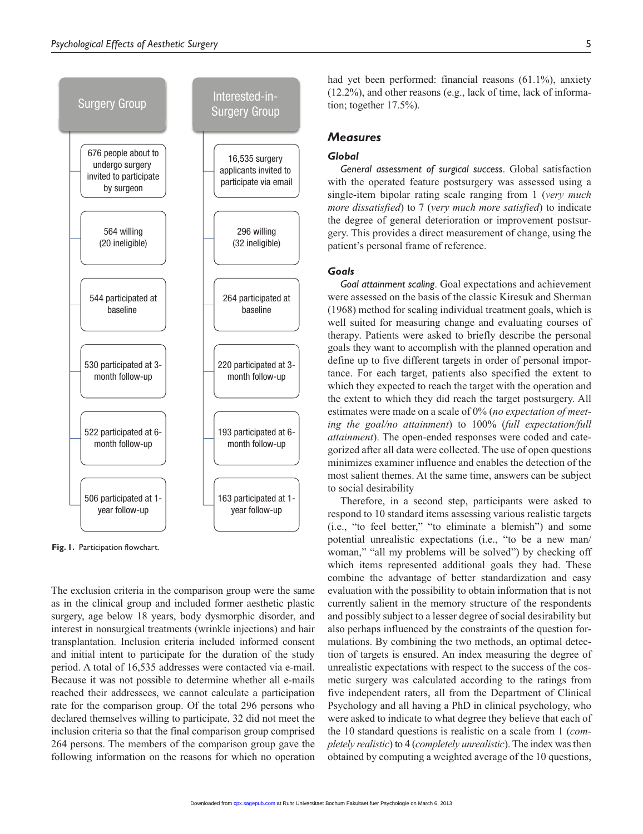

**Fig. 1.** Participation flowchart.

The exclusion criteria in the comparison group were the same as in the clinical group and included former aesthetic plastic surgery, age below 18 years, body dysmorphic disorder, and interest in nonsurgical treatments (wrinkle injections) and hair transplantation. Inclusion criteria included informed consent and initial intent to participate for the duration of the study period. A total of 16,535 addresses were contacted via e-mail. Because it was not possible to determine whether all e-mails reached their addressees, we cannot calculate a participation rate for the comparison group. Of the total 296 persons who declared themselves willing to participate, 32 did not meet the inclusion criteria so that the final comparison group comprised 264 persons. The members of the comparison group gave the following information on the reasons for which no operation

had yet been performed: financial reasons (61.1%), anxiety (12.2%), and other reasons (e.g., lack of time, lack of information; together 17.5%).

#### *Measures*

#### *Global*

*General assessment of surgical success*. Global satisfaction with the operated feature postsurgery was assessed using a single-item bipolar rating scale ranging from 1 (*very much more dissatisfied*) to 7 (*very much more satisfied*) to indicate the degree of general deterioration or improvement postsurgery. This provides a direct measurement of change, using the patient's personal frame of reference.

#### *Goals*

*Goal attainment scaling*. Goal expectations and achievement were assessed on the basis of the classic Kiresuk and Sherman (1968) method for scaling individual treatment goals, which is well suited for measuring change and evaluating courses of therapy. Patients were asked to briefly describe the personal goals they want to accomplish with the planned operation and define up to five different targets in order of personal importance. For each target, patients also specified the extent to which they expected to reach the target with the operation and the extent to which they did reach the target postsurgery. All estimates were made on a scale of 0% (*no expectation of meeting the goal/no attainment*) to 100% (*full expectation/full attainment*). The open-ended responses were coded and categorized after all data were collected. The use of open questions minimizes examiner influence and enables the detection of the most salient themes. At the same time, answers can be subject to social desirability

Therefore, in a second step, participants were asked to respond to 10 standard items assessing various realistic targets (i.e., "to feel better," "to eliminate a blemish") and some potential unrealistic expectations (i.e., "to be a new man/ woman," "all my problems will be solved") by checking off which items represented additional goals they had. These combine the advantage of better standardization and easy evaluation with the possibility to obtain information that is not currently salient in the memory structure of the respondents and possibly subject to a lesser degree of social desirability but also perhaps influenced by the constraints of the question formulations. By combining the two methods, an optimal detection of targets is ensured. An index measuring the degree of unrealistic expectations with respect to the success of the cosmetic surgery was calculated according to the ratings from five independent raters, all from the Department of Clinical Psychology and all having a PhD in clinical psychology, who were asked to indicate to what degree they believe that each of the 10 standard questions is realistic on a scale from 1 (*completely realistic*) to 4 (*completely unrealistic*). The index was then obtained by computing a weighted average of the 10 questions,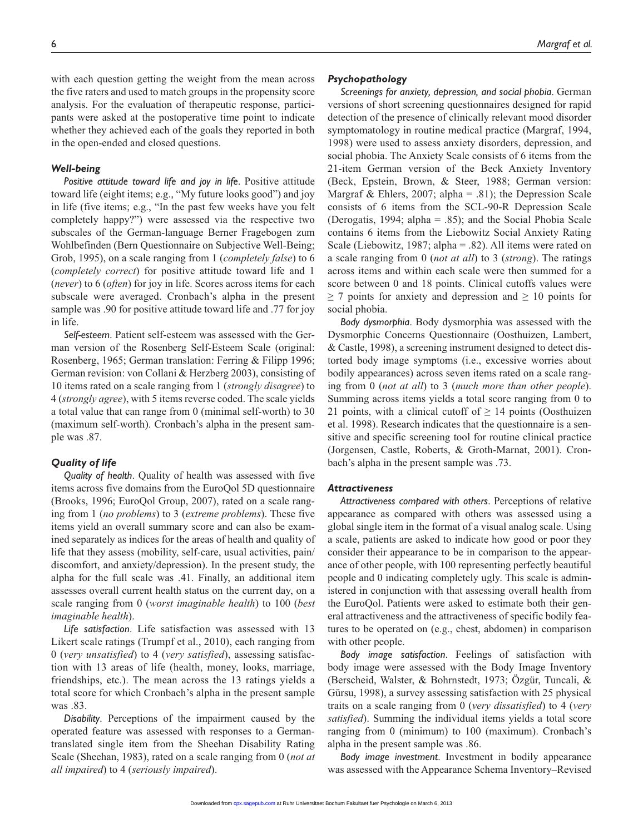with each question getting the weight from the mean across the five raters and used to match groups in the propensity score analysis. For the evaluation of therapeutic response, participants were asked at the postoperative time point to indicate whether they achieved each of the goals they reported in both in the open-ended and closed questions.

#### *Well-being*

*Positive attitude toward life and joy in life*. Positive attitude toward life (eight items; e.g., "My future looks good") and joy in life (five items; e.g., "In the past few weeks have you felt completely happy?") were assessed via the respective two subscales of the German-language Berner Fragebogen zum Wohlbefinden (Bern Questionnaire on Subjective Well-Being; Grob, 1995), on a scale ranging from 1 (*completely false*) to 6 (*completely correct*) for positive attitude toward life and 1 (*never*) to 6 (*often*) for joy in life. Scores across items for each subscale were averaged. Cronbach's alpha in the present sample was .90 for positive attitude toward life and .77 for joy in life.

*Self-esteem*. Patient self-esteem was assessed with the German version of the Rosenberg Self-Esteem Scale (original: Rosenberg, 1965; German translation: Ferring & Filipp 1996; German revision: von Collani & Herzberg 2003), consisting of 10 items rated on a scale ranging from 1 (*strongly disagree*) to 4 (*strongly agree*), with 5 items reverse coded. The scale yields a total value that can range from 0 (minimal self-worth) to 30 (maximum self-worth). Cronbach's alpha in the present sample was .87.

#### *Quality of life*

*Quality of health*. Quality of health was assessed with five items across five domains from the EuroQol 5D questionnaire (Brooks, 1996; EuroQol Group, 2007), rated on a scale ranging from 1 (*no problems*) to 3 (*extreme problems*). These five items yield an overall summary score and can also be examined separately as indices for the areas of health and quality of life that they assess (mobility, self-care, usual activities, pain/ discomfort, and anxiety/depression). In the present study, the alpha for the full scale was .41. Finally, an additional item assesses overall current health status on the current day, on a scale ranging from 0 (*worst imaginable health*) to 100 (*best imaginable health*).

*Life satisfaction*. Life satisfaction was assessed with 13 Likert scale ratings (Trumpf et al., 2010), each ranging from 0 (*very unsatisfied*) to 4 (*very satisfied*), assessing satisfaction with 13 areas of life (health, money, looks, marriage, friendships, etc.). The mean across the 13 ratings yields a total score for which Cronbach's alpha in the present sample was .83.

*Disability*. Perceptions of the impairment caused by the operated feature was assessed with responses to a Germantranslated single item from the Sheehan Disability Rating Scale (Sheehan, 1983), rated on a scale ranging from 0 (*not at all impaired*) to 4 (*seriously impaired*).

#### *Psychopathology*

*Screenings for anxiety, depression, and social phobia*. German versions of short screening questionnaires designed for rapid detection of the presence of clinically relevant mood disorder symptomatology in routine medical practice (Margraf, 1994, 1998) were used to assess anxiety disorders, depression, and social phobia. The Anxiety Scale consists of 6 items from the 21-item German version of the Beck Anxiety Inventory (Beck, Epstein, Brown, & Steer, 1988; German version: Margraf & Ehlers, 2007; alpha = .81); the Depression Scale consists of 6 items from the SCL-90-R Depression Scale (Derogatis, 1994; alpha = .85); and the Social Phobia Scale contains 6 items from the Liebowitz Social Anxiety Rating Scale (Liebowitz, 1987; alpha = .82). All items were rated on a scale ranging from 0 (*not at all*) to 3 (*strong*). The ratings across items and within each scale were then summed for a score between 0 and 18 points. Clinical cutoffs values were  $\geq$  7 points for anxiety and depression and  $\geq$  10 points for social phobia.

*Body dysmorphia*. Body dysmorphia was assessed with the Dysmorphic Concerns Questionnaire (Oosthuizen, Lambert, & Castle, 1998), a screening instrument designed to detect distorted body image symptoms (i.e., excessive worries about bodily appearances) across seven items rated on a scale ranging from 0 (*not at all*) to 3 (*much more than other people*). Summing across items yields a total score ranging from 0 to 21 points, with a clinical cutoff of  $\geq$  14 points (Oosthuizen et al. 1998). Research indicates that the questionnaire is a sensitive and specific screening tool for routine clinical practice (Jorgensen, Castle, Roberts, & Groth-Marnat, 2001). Cronbach's alpha in the present sample was .73.

#### *Attractiveness*

*Attractiveness compared with others*. Perceptions of relative appearance as compared with others was assessed using a global single item in the format of a visual analog scale. Using a scale, patients are asked to indicate how good or poor they consider their appearance to be in comparison to the appearance of other people, with 100 representing perfectly beautiful people and 0 indicating completely ugly. This scale is administered in conjunction with that assessing overall health from the EuroQol. Patients were asked to estimate both their general attractiveness and the attractiveness of specific bodily features to be operated on (e.g., chest, abdomen) in comparison with other people.

*Body image satisfaction*. Feelings of satisfaction with body image were assessed with the Body Image Inventory (Berscheid, Walster, & Bohrnstedt, 1973; Özgür, Tuncali, & Gürsu, 1998), a survey assessing satisfaction with 25 physical traits on a scale ranging from 0 (*very dissatisfied*) to 4 (*very satisfied*). Summing the individual items yields a total score ranging from 0 (minimum) to 100 (maximum). Cronbach's alpha in the present sample was .86.

*Body image investment*. Investment in bodily appearance was assessed with the Appearance Schema Inventory–Revised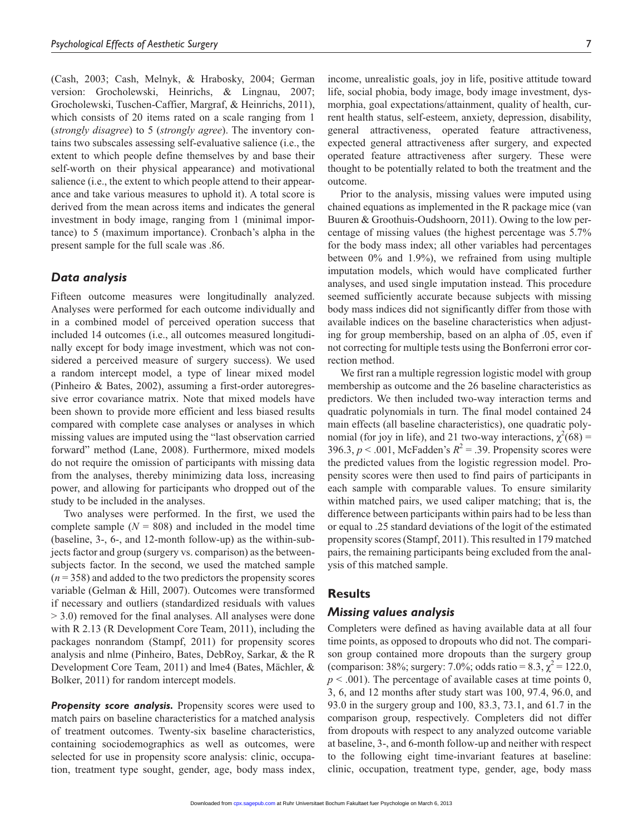(Cash, 2003; Cash, Melnyk, & Hrabosky, 2004; German version: Grocholewski, Heinrichs, & Lingnau, 2007; Grocholewski, Tuschen-Caffier, Margraf, & Heinrichs, 2011), which consists of 20 items rated on a scale ranging from 1 (*strongly disagree*) to 5 (*strongly agree*). The inventory contains two subscales assessing self-evaluative salience (i.e., the extent to which people define themselves by and base their self-worth on their physical appearance) and motivational salience (i.e., the extent to which people attend to their appearance and take various measures to uphold it). A total score is derived from the mean across items and indicates the general investment in body image, ranging from 1 (minimal importance) to 5 (maximum importance). Cronbach's alpha in the present sample for the full scale was .86.

#### *Data analysis*

Fifteen outcome measures were longitudinally analyzed. Analyses were performed for each outcome individually and in a combined model of perceived operation success that included 14 outcomes (i.e., all outcomes measured longitudinally except for body image investment, which was not considered a perceived measure of surgery success). We used a random intercept model, a type of linear mixed model (Pinheiro & Bates, 2002), assuming a first-order autoregressive error covariance matrix. Note that mixed models have been shown to provide more efficient and less biased results compared with complete case analyses or analyses in which missing values are imputed using the "last observation carried forward" method (Lane, 2008). Furthermore, mixed models do not require the omission of participants with missing data from the analyses, thereby minimizing data loss, increasing power, and allowing for participants who dropped out of the study to be included in the analyses.

Two analyses were performed. In the first, we used the complete sample  $(N = 808)$  and included in the model time (baseline, 3-, 6-, and 12-month follow-up) as the within-subjects factor and group (surgery vs. comparison) as the betweensubjects factor. In the second, we used the matched sample  $(n = 358)$  and added to the two predictors the propensity scores variable (Gelman & Hill, 2007). Outcomes were transformed if necessary and outliers (standardized residuals with values > 3.0) removed for the final analyses. All analyses were done with R 2.13 (R Development Core Team, 2011), including the packages nonrandom (Stampf, 2011) for propensity scores analysis and nlme (Pinheiro, Bates, DebRoy, Sarkar, & the R Development Core Team, 2011) and lme4 (Bates, Mächler, & Bolker, 2011) for random intercept models.

**Propensity score analysis.** Propensity scores were used to match pairs on baseline characteristics for a matched analysis of treatment outcomes. Twenty-six baseline characteristics, containing sociodemographics as well as outcomes, were selected for use in propensity score analysis: clinic, occupation, treatment type sought, gender, age, body mass index,

income, unrealistic goals, joy in life, positive attitude toward life, social phobia, body image, body image investment, dysmorphia, goal expectations/attainment, quality of health, current health status, self-esteem, anxiety, depression, disability, general attractiveness, operated feature attractiveness, expected general attractiveness after surgery, and expected operated feature attractiveness after surgery. These were thought to be potentially related to both the treatment and the outcome.

Prior to the analysis, missing values were imputed using chained equations as implemented in the R package mice (van Buuren & Groothuis-Oudshoorn, 2011). Owing to the low percentage of missing values (the highest percentage was 5.7% for the body mass index; all other variables had percentages between 0% and 1.9%), we refrained from using multiple imputation models, which would have complicated further analyses, and used single imputation instead. This procedure seemed sufficiently accurate because subjects with missing body mass indices did not significantly differ from those with available indices on the baseline characteristics when adjusting for group membership, based on an alpha of .05, even if not correcting for multiple tests using the Bonferroni error correction method.

We first ran a multiple regression logistic model with group membership as outcome and the 26 baseline characteristics as predictors. We then included two-way interaction terms and quadratic polynomials in turn. The final model contained 24 main effects (all baseline characteristics), one quadratic polynomial (for joy in life), and 21 two-way interactions,  $\chi^2(68)$  = 396.3,  $p < .001$ , McFadden's  $R^2 = .39$ . Propensity scores were the predicted values from the logistic regression model. Propensity scores were then used to find pairs of participants in each sample with comparable values. To ensure similarity within matched pairs, we used caliper matching; that is, the difference between participants within pairs had to be less than or equal to .25 standard deviations of the logit of the estimated propensity scores (Stampf, 2011). This resulted in 179 matched pairs, the remaining participants being excluded from the analysis of this matched sample.

#### **Results**

#### *Missing values analysis*

Completers were defined as having available data at all four time points, as opposed to dropouts who did not. The comparison group contained more dropouts than the surgery group (comparison: 38%; surgery: 7.0%; odds ratio = 8.3,  $\chi^2$  = 122.0,  $p < .001$ ). The percentage of available cases at time points 0, 3, 6, and 12 months after study start was 100, 97.4, 96.0, and 93.0 in the surgery group and 100, 83.3, 73.1, and 61.7 in the comparison group, respectively. Completers did not differ from dropouts with respect to any analyzed outcome variable at baseline, 3-, and 6-month follow-up and neither with respect to the following eight time-invariant features at baseline: clinic, occupation, treatment type, gender, age, body mass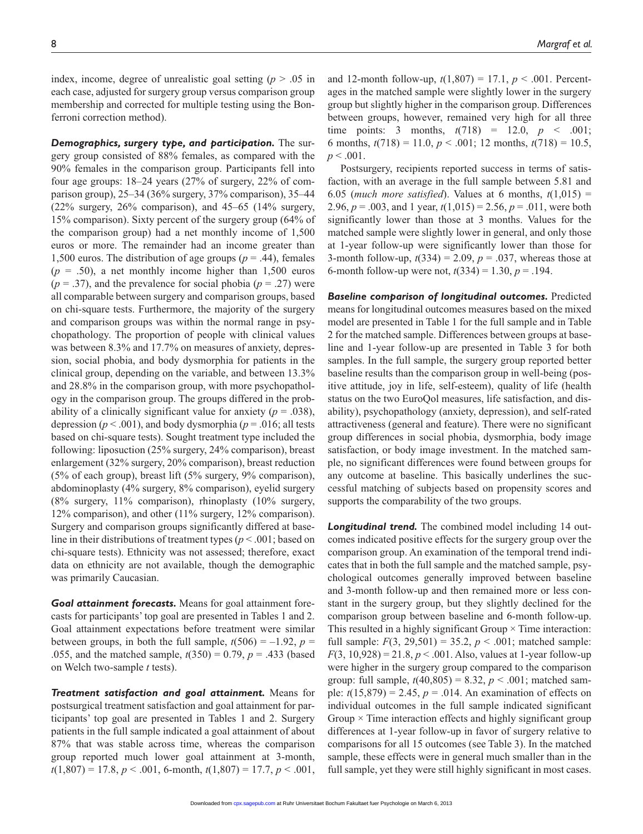index, income, degree of unrealistic goal setting  $(p > .05)$  in each case, adjusted for surgery group versus comparison group membership and corrected for multiple testing using the Bonferroni correction method).

*Demographics, surgery type, and participation.* The surgery group consisted of 88% females, as compared with the 90% females in the comparison group. Participants fell into four age groups: 18–24 years (27% of surgery, 22% of comparison group), 25–34 (36% surgery, 37% comparison), 35–44 (22% surgery, 26% comparison), and 45–65 (14% surgery, 15% comparison). Sixty percent of the surgery group (64% of the comparison group) had a net monthly income of 1,500 euros or more. The remainder had an income greater than 1,500 euros. The distribution of age groups ( $p = .44$ ), females  $(p = .50)$ , a net monthly income higher than 1,500 euros  $(p = .37)$ , and the prevalence for social phobia  $(p = .27)$  were all comparable between surgery and comparison groups, based on chi-square tests. Furthermore, the majority of the surgery and comparison groups was within the normal range in psychopathology. The proportion of people with clinical values was between 8.3% and 17.7% on measures of anxiety, depression, social phobia, and body dysmorphia for patients in the clinical group, depending on the variable, and between 13.3% and 28.8% in the comparison group, with more psychopathology in the comparison group. The groups differed in the probability of a clinically significant value for anxiety ( $p = .038$ ), depression ( $p < .001$ ), and body dysmorphia ( $p = .016$ ; all tests based on chi-square tests). Sought treatment type included the following: liposuction (25% surgery, 24% comparison), breast enlargement (32% surgery, 20% comparison), breast reduction (5% of each group), breast lift (5% surgery, 9% comparison), abdominoplasty (4% surgery, 8% comparison), eyelid surgery (8% surgery, 11% comparison), rhinoplasty (10% surgery, 12% comparison), and other (11% surgery, 12% comparison). Surgery and comparison groups significantly differed at baseline in their distributions of treatment types (*p* < .001; based on chi-square tests). Ethnicity was not assessed; therefore, exact data on ethnicity are not available, though the demographic was primarily Caucasian.

*Goal attainment forecasts.* Means for goal attainment forecasts for participants' top goal are presented in Tables 1 and 2. Goal attainment expectations before treatment were similar between groups, in both the full sample,  $t(506) = -1.92$ ,  $p =$ .055, and the matched sample, *t*(350) = 0.79, *p* = .433 (based on Welch two-sample *t* tests).

*Treatment satisfaction and goal attainment.* Means for postsurgical treatment satisfaction and goal attainment for participants' top goal are presented in Tables 1 and 2. Surgery patients in the full sample indicated a goal attainment of about 87% that was stable across time, whereas the comparison group reported much lower goal attainment at 3-month, *t*(1,807) = 17.8, *p* < .001, 6-month, *t*(1,807) = 17.7, *p* < .001, and 12-month follow-up,  $t(1,807) = 17.1$ ,  $p < .001$ . Percentages in the matched sample were slightly lower in the surgery group but slightly higher in the comparison group. Differences between groups, however, remained very high for all three time points: 3 months,  $t(718) = 12.0$ ,  $p < .001$ ; 6 months, *t*(718) = 11.0, *p* < .001; 12 months, *t*(718) = 10.5,  $p < .001$ .

Postsurgery, recipients reported success in terms of satisfaction, with an average in the full sample between 5.81 and 6.05 (*much more satisfied*). Values at 6 months, *t*(1,015) = 2.96,  $p = .003$ , and 1 year,  $t(1,015) = 2.56$ ,  $p = .011$ , were both significantly lower than those at 3 months. Values for the matched sample were slightly lower in general, and only those at 1-year follow-up were significantly lower than those for 3-month follow-up,  $t(334) = 2.09$ ,  $p = .037$ , whereas those at 6-month follow-up were not,  $t(334) = 1.30, p = .194$ .

*Baseline comparison of longitudinal outcomes.* Predicted means for longitudinal outcomes measures based on the mixed model are presented in Table 1 for the full sample and in Table 2 for the matched sample. Differences between groups at baseline and 1-year follow-up are presented in Table 3 for both samples. In the full sample, the surgery group reported better baseline results than the comparison group in well-being (positive attitude, joy in life, self-esteem), quality of life (health status on the two EuroQol measures, life satisfaction, and disability), psychopathology (anxiety, depression), and self-rated attractiveness (general and feature). There were no significant group differences in social phobia, dysmorphia, body image satisfaction, or body image investment. In the matched sample, no significant differences were found between groups for any outcome at baseline. This basically underlines the successful matching of subjects based on propensity scores and supports the comparability of the two groups.

*Longitudinal trend.* The combined model including 14 outcomes indicated positive effects for the surgery group over the comparison group. An examination of the temporal trend indicates that in both the full sample and the matched sample, psychological outcomes generally improved between baseline and 3-month follow-up and then remained more or less constant in the surgery group, but they slightly declined for the comparison group between baseline and 6-month follow-up. This resulted in a highly significant Group  $\times$  Time interaction: full sample:  $F(3, 29,501) = 35.2, p < .001$ ; matched sample:  $F(3, 10, 928) = 21.8, p < .001$ . Also, values at 1-year follow-up were higher in the surgery group compared to the comparison group: full sample,  $t(40,805) = 8.32$ ,  $p < .001$ ; matched sample:  $t(15,879) = 2.45$ ,  $p = .014$ . An examination of effects on individual outcomes in the full sample indicated significant Group  $\times$  Time interaction effects and highly significant group differences at 1-year follow-up in favor of surgery relative to comparisons for all 15 outcomes (see Table 3). In the matched sample, these effects were in general much smaller than in the full sample, yet they were still highly significant in most cases.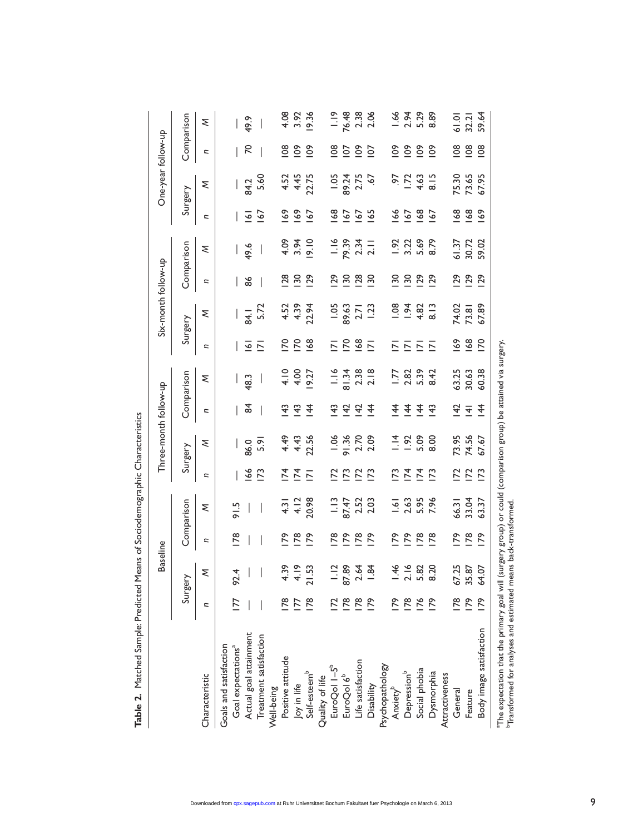|                                                                                                                                                                                              |                       | <b>Baseline</b> |                |                         |                             | Three-month follow-up         |                  |                                                             |                               | Six-month follow-up                   |                 |                           |                 | One-year follow-up         |                 |                                                                                                         |
|----------------------------------------------------------------------------------------------------------------------------------------------------------------------------------------------|-----------------------|-----------------|----------------|-------------------------|-----------------------------|-------------------------------|------------------|-------------------------------------------------------------|-------------------------------|---------------------------------------|-----------------|---------------------------|-----------------|----------------------------|-----------------|---------------------------------------------------------------------------------------------------------|
|                                                                                                                                                                                              |                       | Surgery         |                | Comparison              |                             | Surgery                       | Comparison       |                                                             | Surgery                       |                                       | Comparison      |                           | Surgery         |                            | Comparison      |                                                                                                         |
| Characteristic                                                                                                                                                                               | ς                     | ξ               | 2              | ξ                       | u                           | ξ                             | n                | Σ                                                           | u                             | Σ                                     | n               | Σ                         | u               | ξ                          | n               | ξ                                                                                                       |
| Goals and satisfaction                                                                                                                                                                       |                       |                 |                |                         |                             |                               |                  |                                                             |                               |                                       |                 |                           |                 |                            |                 |                                                                                                         |
| Goal expectations <sup>a</sup>                                                                                                                                                               |                       | 92.4            | <b>178</b>     | 516                     |                             |                               |                  |                                                             |                               |                                       |                 |                           |                 |                            |                 |                                                                                                         |
| Actual goal attainment                                                                                                                                                                       |                       |                 |                |                         | 66                          | 86.0                          | 没                | 48.3                                                        | $\overline{\bullet}$          | 84.1<br>5.72                          | 86              | 49.6                      | $\bullet$       | 84.2                       | 2               | 49.9                                                                                                    |
| Treatment satisfaction                                                                                                                                                                       |                       |                 |                |                         | $\overline{12}$             | 5.91                          |                  |                                                             | $\overline{\phantom{0}}$      |                                       |                 |                           | $\overline{6}$  | 5.60                       |                 |                                                                                                         |
| Well-being                                                                                                                                                                                   |                       |                 |                |                         |                             |                               |                  |                                                             |                               |                                       |                 |                           |                 |                            |                 |                                                                                                         |
| Positive attitude                                                                                                                                                                            | 78                    | 4.39            | $\overline{5}$ | $\overline{3}$          | $\overline{7}$              | 4.49                          | $\frac{43}{5}$   | $rac{0}{4}$                                                 | $\overline{5}$                |                                       | 28              |                           | \$              |                            | $\infty$        |                                                                                                         |
| Joy in life                                                                                                                                                                                  |                       | 4.19            | <b>178</b>     | $4.12$<br>20.98         | $\frac{1}{2}$ $\frac{1}{2}$ | $4.43$<br>22.56               | $\frac{4}{3}$    | 4.00                                                        | $\overline{170}$              | $4.52$<br>$4.39$<br>$2.34$            | $\frac{50}{2}$  | $4.09$<br>$7.8$<br>$9.10$ | 69              |                            | $\frac{8}{2}$   | $4.08$<br>3.92                                                                                          |
| Self-esteem <sup>b</sup>                                                                                                                                                                     | œ                     | 1.53            | 179            |                         |                             |                               | $\overline{4}$   |                                                             | 168                           |                                       | <b>129</b>      |                           | $\overline{67}$ | $4.52$<br>$4.45$<br>$2.75$ | $\frac{8}{2}$   | 19.36                                                                                                   |
| Quality of life                                                                                                                                                                              |                       |                 |                |                         |                             |                               |                  |                                                             |                               |                                       |                 |                           |                 |                            |                 |                                                                                                         |
| EuroQol I–5 <sup>b</sup><br>EuroQol 6 <sup>b</sup>                                                                                                                                           |                       | 1.12            | <b>178</b>     |                         | $\overline{2}$              |                               | $\frac{43}{5}$   |                                                             | $\bar{\triangleright}$        |                                       | $\frac{29}{2}$  |                           | $\frac{8}{6}$   |                            | $\frac{8}{2}$   |                                                                                                         |
|                                                                                                                                                                                              | œ                     | 87.89           | <b>179</b>     | $1.13$<br>87.47<br>2.52 | $\overline{17}$             | $-3.36$<br>$-2.70$<br>$-2.09$ | $\overline{142}$ | $1.16$<br>$-3.38$<br>$-3.38$<br>$-3.38$<br>$-1.8$<br>$-1.8$ | $\overline{170}$              | $1.05$<br>$89.63$<br>$7.73$<br>$1.23$ | $\frac{50}{2}$  |                           | $\frac{6}{2}$   | $1.05$<br>89.24<br>2.75    | $\overline{c}$  | $1.19$<br>76.48<br>76.7<br>7<br>7<br>7<br>7<br>7<br>7<br>7<br>7<br>7<br>8<br>8<br>8<br>8<br>8<br>8<br>8 |
| Life satisfaction                                                                                                                                                                            | జ                     | 2.64            | 178            |                         | $\overline{2}$              |                               | $\frac{42}{3}$   |                                                             | 168                           |                                       | $\overline{28}$ |                           | 167             |                            | $\frac{8}{2}$   |                                                                                                         |
| Disability                                                                                                                                                                                   | $\tilde{\varepsilon}$ | 1.84            | 179            | 2.03                    | 173                         |                               | $\overline{4}$   |                                                             | $\overline{\Sigma}$           |                                       | $\frac{8}{30}$  |                           | 65              | $\tilde{e}$                | $\overline{5}$  |                                                                                                         |
|                                                                                                                                                                                              |                       |                 |                |                         |                             |                               |                  |                                                             |                               |                                       |                 |                           |                 |                            |                 |                                                                                                         |
| Psychopathology<br>Anxiety <sup>b</sup>                                                                                                                                                      |                       | 1.46            | <b>P41</b>     | $\overline{5}$          | $\tilde{\mathbb{E}}$        | $\frac{4}{1}$                 | $\overline{4}$   | L7                                                          | $\overline{\phantom{0}}$      | 0.08                                  | $\frac{50}{2}$  |                           | 66              | $6^{\circ}$                | $\frac{8}{2}$   |                                                                                                         |
| Depression <sup>b</sup>                                                                                                                                                                      | జ                     | 2.16            | 179            | 2.63                    | $\frac{1}{2}$ $\frac{1}{2}$ | $1.92$<br>5.09                | $\overline{4}$   | 2.82<br>5.39                                                | $\overline{2}$ $\overline{2}$ | 1.94                                  | $\frac{130}{2}$ | 1923<br>2025<br>2029      | 67              | $\overline{12}$            | $\frac{8}{2}$   | $-28$<br>2.329                                                                                          |
| Social phobia                                                                                                                                                                                | 76                    | 5.82            | 178            | 5.95                    |                             |                               | $\overline{4}$   |                                                             |                               | 4.82                                  | 29              |                           | $\frac{8}{6}$   | 4.63                       | $\infty$        |                                                                                                         |
| Dysmorphia                                                                                                                                                                                   | ዶ                     | 8.20            | <b>178</b>     | 7.96                    | $\overline{73}$             | 8.00                          | $\frac{43}{5}$   | 8.42                                                        | $\overline{\Sigma}$           | $\frac{1}{\infty}$                    | <b>29</b>       |                           | 67              | 8.15                       | $\infty$        | 8.89                                                                                                    |
| Attractiveness                                                                                                                                                                               |                       |                 |                |                         |                             |                               |                  |                                                             |                               |                                       |                 |                           |                 |                            |                 |                                                                                                         |
| General                                                                                                                                                                                      | జ                     | 67.25           | <b>PZ</b>      | 66.31                   | $\overline{2}$              | 73.95                         | $\frac{42}{5}$   | 63.25                                                       | 169                           |                                       | $^{29}$         |                           | $\frac{8}{8}$   |                            | 108             | 61.01<br>32.21                                                                                          |
| Feature                                                                                                                                                                                      |                       | 35.87           | <b>178</b>     | 33.04                   | $\overline{17}$             | 74.56                         | $\overline{4}$   |                                                             | 168                           | 74.02<br>73.81                        | <b>129</b>      | 61.37<br>30.72<br>59.02   | 168             | 75.30<br>73.65             | $\frac{80}{2}$  |                                                                                                         |
| Body image satisfaction                                                                                                                                                                      | 79                    | 64.07           | <b>PS</b>      | 63.37                   | $\overline{7}3$             | 67.67                         | $\overline{4}$   | 60.38                                                       | $\overline{170}$              | 67.89                                 | <b>PZI</b>      |                           | 69              | 67.95                      | $\overline{08}$ | 59.64                                                                                                   |
| "The expectation that the primary goal will (surgery group) or could (comparison group) be attained via surgery.<br>$^{\rm b}$ Transformed for analyses and estimated means back-transformed |                       |                 |                |                         |                             |                               |                  |                                                             |                               |                                       |                 |                           |                 |                            |                 |                                                                                                         |

Table 2. Matched Sample: Predicted Means of Sociodemographic Characteristics **Table 2.** Matched Sample: Predicted Means of Sociodemographic Characteristics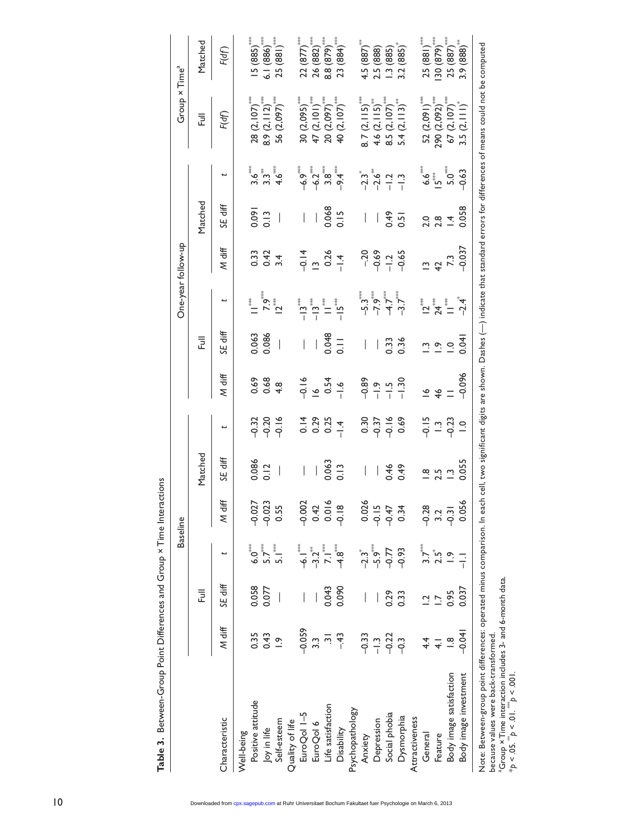|                                                                                                          |                             |         |                                                   | <b>Baseline</b>                           |                          |                                       |                             |                                           |                                                                                      | One-year follow-up |                          |                        | Group × Time <sup>a</sup>                                                                                                            |                            |
|----------------------------------------------------------------------------------------------------------|-----------------------------|---------|---------------------------------------------------|-------------------------------------------|--------------------------|---------------------------------------|-----------------------------|-------------------------------------------|--------------------------------------------------------------------------------------|--------------------|--------------------------|------------------------|--------------------------------------------------------------------------------------------------------------------------------------|----------------------------|
|                                                                                                          |                             | 卮       |                                                   |                                           | Matched                  |                                       |                             | 卮                                         |                                                                                      |                    | Matched                  |                        | 卮                                                                                                                                    | Matched                    |
| Characteristic                                                                                           | M diff                      | SE diff |                                                   | ₩<br>ξ                                    | SE diff                  | ÷                                     | M diff                      | SE diff                                   | ÷                                                                                    | M diff             | SE diff                  | ÷                      | F(df)                                                                                                                                | F(df)                      |
| Well-being                                                                                               |                             |         |                                                   |                                           |                          |                                       |                             |                                           |                                                                                      |                    |                          |                        |                                                                                                                                      |                            |
| Positive attitude                                                                                        | 0.35                        | 0.058   | $6.0^{***}$                                       |                                           | 0.086                    |                                       |                             |                                           | $\sum_{i=1}^{n}$                                                                     |                    |                          |                        | 28 (2,107)                                                                                                                           | $15 (885)$ <sup>***</sup>  |
| Joy in life                                                                                              | 0.43                        | 0.077   | $\frac{1}{5} \cdot \frac{1}{7}$                   | $-0.027$<br>$-0.023$                      | 0.12                     | $-0.32$                               | 0.68                        | 0.063<br>0.086                            |                                                                                      | $0.33$<br>0.42     | 0.091                    | ية<br>من سياة<br>باب ب | $8.9(2,112)$ <sup>***</sup>                                                                                                          | $6.1(886)$ <sup>***</sup>  |
| Self-esteem                                                                                              | $\frac{1}{2}$               |         |                                                   | 0.55                                      | $\overline{\phantom{a}}$ | $-0.16$                               | 4.8                         | $\overline{\phantom{a}}$                  | $7.9^{***}$<br>12 $^{***}$                                                           | 3.4                | $\bigg $                 |                        | 56 (2,097) <sup>***</sup>                                                                                                            | 25(881)                    |
| Quality of life                                                                                          |                             |         |                                                   |                                           |                          |                                       |                             |                                           |                                                                                      |                    |                          |                        |                                                                                                                                      |                            |
| EuroQol 1-5                                                                                              | $-0.059$                    |         |                                                   | $-0.002$                                  | I                        |                                       | $-0.16$                     | $\begin{array}{c} \hline \end{array}$     | "<br>ה' ה'<br>ד – ד                                                                  | $-0.14$            | I                        | $-6.9$                 | $30(2,095)$ <sup>***</sup>                                                                                                           | $22 (877)$ ***             |
| EuroQol 6                                                                                                | $3.\overline{3}$            |         |                                                   |                                           | $\bigg $                 |                                       |                             | $\begin{array}{c} \hline \end{array}$     |                                                                                      |                    | $\bigg $                 | $-6.2$ <sup>***</sup>  | 47 $(2,101)$ <sup>***</sup>                                                                                                          | 26(882)                    |
| Life satisfaction                                                                                        |                             | 0.043   |                                                   | 0.42<br>0.016                             | 0.063                    | $\frac{4}{0.29}$<br>$\frac{29}{0.25}$ | $\frac{16}{0.54}$           |                                           | $\begin{matrix} \frac{1}{2} & \frac{1}{2} \\ \frac{1}{2} & \frac{1}{2} \end{matrix}$ |                    | 0.068                    | $3.8***$               | $20(2,097)$ ***                                                                                                                      | 8.8 (879)                  |
| Disability                                                                                               | $-43$                       | 0.090   |                                                   | $\frac{\infty}{\infty}$<br>$\overline{q}$ | 0.13                     |                                       | $\frac{1}{1}$               | 0.048                                     | - <sup>≛#</sup><br>– آ⊃                                                              | $\frac{13}{0.26}$  | 0.15                     | $-9.4$                 | 40 $(2,107)$ <sup>***</sup>                                                                                                          | 23 (884)                   |
| Psychopathology                                                                                          |                             |         |                                                   |                                           |                          |                                       |                             |                                           |                                                                                      |                    |                          |                        |                                                                                                                                      |                            |
| Anxiety                                                                                                  |                             |         |                                                   | 0.026                                     | $\bigg $                 | 0.30                                  |                             | $\mathsf{I}$                              |                                                                                      | $-20$              | $\overline{\phantom{a}}$ |                        | $8.7(2.115)$ <sup>***</sup>                                                                                                          | 4.5 $(887)$ <sup>***</sup> |
| Depression                                                                                               |                             |         | $-2.\overline{3}$<br>$-5.\overline{9}$<br>$-0.77$ | $-0.15$<br>-0.47                          | $\bigg $                 | $-0.37$                               | $rac{36}{9} - \frac{15}{1}$ | $\overline{\phantom{a}}$                  | $\begin{array}{c}\n -5.3 \\  -7.9 \\  +7.7\n \end{array}$                            |                    | I                        | ຳ້.<br>2.6<br>  1 2.5  |                                                                                                                                      | 2.5 (888)                  |
| Social phobia                                                                                            | $-1.3$<br>$-1.3$<br>$-0.22$ | 0.29    |                                                   |                                           | 0.46                     |                                       |                             | 0.33                                      |                                                                                      | $-0.69$<br>$-1.2$  | $6+0$                    |                        | $4.6 (2.115)$<br>8.5 $(2.107)$                                                                                                       | (885)<br>$\frac{3}{2}$     |
| Dysmorphia                                                                                               | $-0.3$                      | 0.33    | $-0.93$                                           | 0.34                                      | 0.49                     | 0.69                                  | $-1.30$                     | 0.36                                      | $-3.7***$                                                                            | $-0.65$            | 0.51                     | $-1.3$                 | $5.4(2.113)$ <sup>**</sup>                                                                                                           | $(885)^*$<br>3.2           |
| Attractiveness                                                                                           |                             |         |                                                   |                                           |                          |                                       |                             |                                           |                                                                                      |                    |                          |                        |                                                                                                                                      |                            |
| General                                                                                                  | 4.4                         |         | $\begin{array}{c} 3.7 \\ 2.5 \\ \end{array}$      |                                           |                          |                                       | $\leq$                      |                                           | ב**<br>2                                                                             | $\overline{c}$     | 2.0                      | ا 5ٌ<br>9.∲<br>15ٌ     | 52 (2,091) <sup>***</sup>                                                                                                            | 25 (881) <sup>****</sup>   |
| Feature                                                                                                  |                             |         |                                                   | $-0.28$<br>3.2<br>-0.31                   | $-2.5$                   | $-0.15$<br>$-0.23$                    | $\frac{4}{6}$               | $\frac{m}{2}$ $\frac{m}{2}$ $\frac{m}{2}$ | 24                                                                                   | $\overline{4}$     | 2.8                      |                        | 290 (2,092) <sup>***</sup>                                                                                                           | $(629)$ 02                 |
| Body image satisfaction                                                                                  | $\frac{\infty}{\cdot}$      | 0.95    | $\overline{\cdot}$                                |                                           | $\ddot{ }$               |                                       |                             |                                           | $\prod_{i=1}^{n}$                                                                    | 7.3                | $\overline{4}$           | $5.0^{***}$            | 67(2,107)                                                                                                                            | 25 (887)                   |
| Body image investment                                                                                    | $-0.041$                    | 0.037   |                                                   | 0.056                                     | 0.055                    | $\frac{1}{2}$                         | $-0.096$                    | 0.041                                     | *<br>7.4                                                                             | $-0.037$           | 0.058                    | $-0.63$                | $3.5 (2.111)^*$                                                                                                                      | $3.9(888)$ <sup>**</sup>   |
| Note: Between-group point differences: operated minus comparison. In                                     |                             |         |                                                   |                                           |                          |                                       |                             |                                           |                                                                                      |                    |                          |                        | each cell, two significant digits are shown. Dashes (—) indicate that standard errors for differences of means could not be computed |                            |
| because values were back-transformed                                                                     |                             |         |                                                   |                                           |                          |                                       |                             |                                           |                                                                                      |                    |                          |                        |                                                                                                                                      |                            |
| "Group × Time interaction includes 3- and 6-month data.<br>$*_{p}$ < .05. $*_{p}$ < .01. $*_{p}$ < .001. |                             |         |                                                   |                                           |                          |                                       |                             |                                           |                                                                                      |                    |                          |                        |                                                                                                                                      |                            |

Table 3. Between-Group Point Differences and Group × Time Interactions **Table 3.** Between-Group Point Differences and Group × Time Interactions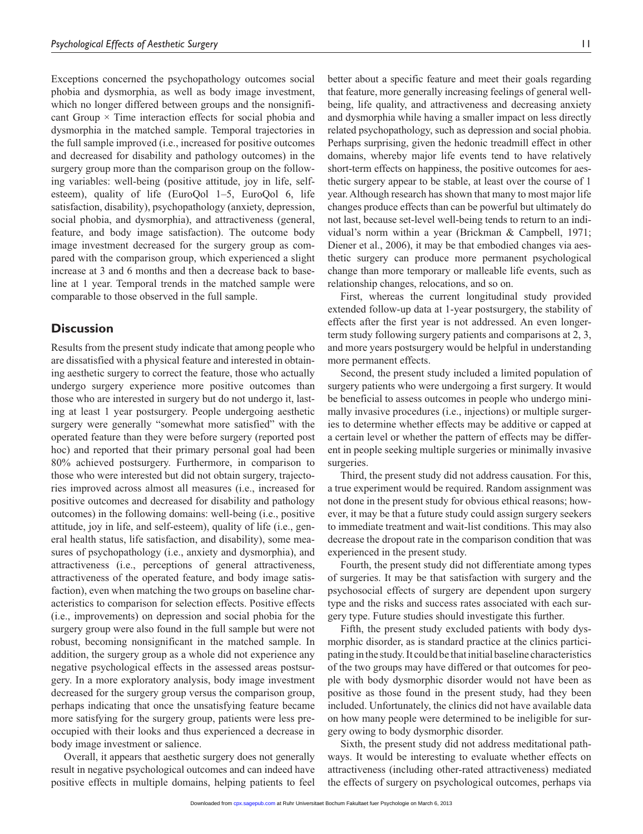Exceptions concerned the psychopathology outcomes social phobia and dysmorphia, as well as body image investment, which no longer differed between groups and the nonsignificant Group  $\times$  Time interaction effects for social phobia and dysmorphia in the matched sample. Temporal trajectories in the full sample improved (i.e., increased for positive outcomes and decreased for disability and pathology outcomes) in the surgery group more than the comparison group on the following variables: well-being (positive attitude, joy in life, selfesteem), quality of life (EuroQol 1–5, EuroQol 6, life satisfaction, disability), psychopathology (anxiety, depression, social phobia, and dysmorphia), and attractiveness (general, feature, and body image satisfaction). The outcome body image investment decreased for the surgery group as compared with the comparison group, which experienced a slight increase at 3 and 6 months and then a decrease back to baseline at 1 year. Temporal trends in the matched sample were comparable to those observed in the full sample.

#### **Discussion**

Results from the present study indicate that among people who are dissatisfied with a physical feature and interested in obtaining aesthetic surgery to correct the feature, those who actually undergo surgery experience more positive outcomes than those who are interested in surgery but do not undergo it, lasting at least 1 year postsurgery. People undergoing aesthetic surgery were generally "somewhat more satisfied" with the operated feature than they were before surgery (reported post hoc) and reported that their primary personal goal had been 80% achieved postsurgery. Furthermore, in comparison to those who were interested but did not obtain surgery, trajectories improved across almost all measures (i.e., increased for positive outcomes and decreased for disability and pathology outcomes) in the following domains: well-being (i.e., positive attitude, joy in life, and self-esteem), quality of life (i.e., general health status, life satisfaction, and disability), some measures of psychopathology (i.e., anxiety and dysmorphia), and attractiveness (i.e., perceptions of general attractiveness, attractiveness of the operated feature, and body image satisfaction), even when matching the two groups on baseline characteristics to comparison for selection effects. Positive effects (i.e., improvements) on depression and social phobia for the surgery group were also found in the full sample but were not robust, becoming nonsignificant in the matched sample. In addition, the surgery group as a whole did not experience any negative psychological effects in the assessed areas postsurgery. In a more exploratory analysis, body image investment decreased for the surgery group versus the comparison group, perhaps indicating that once the unsatisfying feature became more satisfying for the surgery group, patients were less preoccupied with their looks and thus experienced a decrease in body image investment or salience.

Overall, it appears that aesthetic surgery does not generally result in negative psychological outcomes and can indeed have positive effects in multiple domains, helping patients to feel

better about a specific feature and meet their goals regarding that feature, more generally increasing feelings of general wellbeing, life quality, and attractiveness and decreasing anxiety and dysmorphia while having a smaller impact on less directly related psychopathology, such as depression and social phobia. Perhaps surprising, given the hedonic treadmill effect in other domains, whereby major life events tend to have relatively short-term effects on happiness, the positive outcomes for aesthetic surgery appear to be stable, at least over the course of 1 year. Although research has shown that many to most major life changes produce effects than can be powerful but ultimately do not last, because set-level well-being tends to return to an individual's norm within a year (Brickman & Campbell, 1971; Diener et al., 2006), it may be that embodied changes via aesthetic surgery can produce more permanent psychological change than more temporary or malleable life events, such as relationship changes, relocations, and so on.

First, whereas the current longitudinal study provided extended follow-up data at 1-year postsurgery, the stability of effects after the first year is not addressed. An even longerterm study following surgery patients and comparisons at 2, 3, and more years postsurgery would be helpful in understanding more permanent effects.

Second, the present study included a limited population of surgery patients who were undergoing a first surgery. It would be beneficial to assess outcomes in people who undergo minimally invasive procedures (i.e., injections) or multiple surgeries to determine whether effects may be additive or capped at a certain level or whether the pattern of effects may be different in people seeking multiple surgeries or minimally invasive surgeries.

Third, the present study did not address causation. For this, a true experiment would be required. Random assignment was not done in the present study for obvious ethical reasons; however, it may be that a future study could assign surgery seekers to immediate treatment and wait-list conditions. This may also decrease the dropout rate in the comparison condition that was experienced in the present study.

Fourth, the present study did not differentiate among types of surgeries. It may be that satisfaction with surgery and the psychosocial effects of surgery are dependent upon surgery type and the risks and success rates associated with each surgery type. Future studies should investigate this further.

Fifth, the present study excluded patients with body dysmorphic disorder, as is standard practice at the clinics participating in the study. It could be that initial baseline characteristics of the two groups may have differed or that outcomes for people with body dysmorphic disorder would not have been as positive as those found in the present study, had they been included. Unfortunately, the clinics did not have available data on how many people were determined to be ineligible for surgery owing to body dysmorphic disorder.

Sixth, the present study did not address meditational pathways. It would be interesting to evaluate whether effects on attractiveness (including other-rated attractiveness) mediated the effects of surgery on psychological outcomes, perhaps via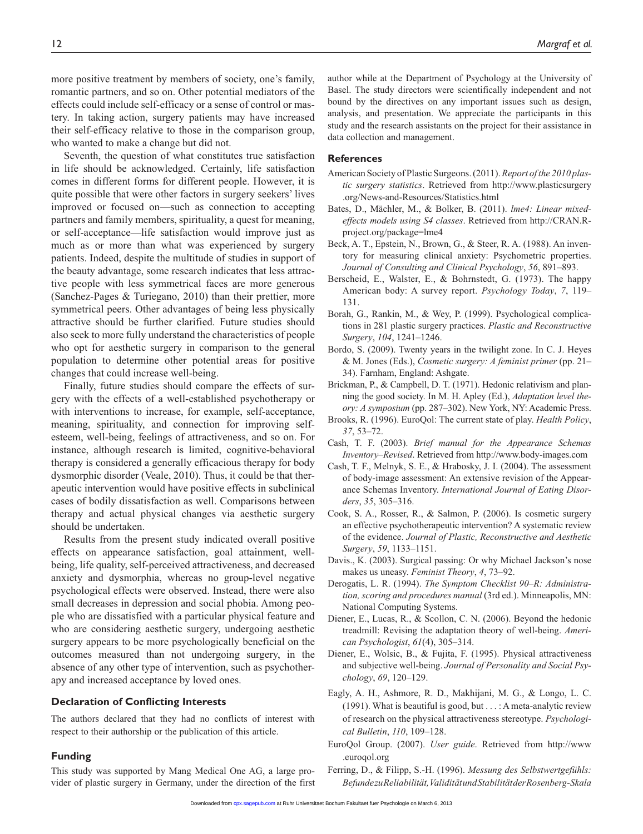more positive treatment by members of society, one's family, romantic partners, and so on. Other potential mediators of the effects could include self-efficacy or a sense of control or mastery. In taking action, surgery patients may have increased their self-efficacy relative to those in the comparison group, who wanted to make a change but did not.

Seventh, the question of what constitutes true satisfaction in life should be acknowledged. Certainly, life satisfaction comes in different forms for different people. However, it is quite possible that were other factors in surgery seekers' lives improved or focused on—such as connection to accepting partners and family members, spirituality, a quest for meaning, or self-acceptance—life satisfaction would improve just as much as or more than what was experienced by surgery patients. Indeed, despite the multitude of studies in support of the beauty advantage, some research indicates that less attractive people with less symmetrical faces are more generous (Sanchez-Pages & Turiegano, 2010) than their prettier, more symmetrical peers. Other advantages of being less physically attractive should be further clarified. Future studies should also seek to more fully understand the characteristics of people who opt for aesthetic surgery in comparison to the general population to determine other potential areas for positive changes that could increase well-being.

Finally, future studies should compare the effects of surgery with the effects of a well-established psychotherapy or with interventions to increase, for example, self-acceptance, meaning, spirituality, and connection for improving selfesteem, well-being, feelings of attractiveness, and so on. For instance, although research is limited, cognitive-behavioral therapy is considered a generally efficacious therapy for body dysmorphic disorder (Veale, 2010). Thus, it could be that therapeutic intervention would have positive effects in subclinical cases of bodily dissatisfaction as well. Comparisons between therapy and actual physical changes via aesthetic surgery should be undertaken.

Results from the present study indicated overall positive effects on appearance satisfaction, goal attainment, wellbeing, life quality, self-perceived attractiveness, and decreased anxiety and dysmorphia, whereas no group-level negative psychological effects were observed. Instead, there were also small decreases in depression and social phobia. Among people who are dissatisfied with a particular physical feature and who are considering aesthetic surgery, undergoing aesthetic surgery appears to be more psychologically beneficial on the outcomes measured than not undergoing surgery, in the absence of any other type of intervention, such as psychotherapy and increased acceptance by loved ones.

#### **Declaration of Conflicting Interests**

The authors declared that they had no conflicts of interest with respect to their authorship or the publication of this article.

#### **Funding**

This study was supported by Mang Medical One AG, a large provider of plastic surgery in Germany, under the direction of the first author while at the Department of Psychology at the University of Basel. The study directors were scientifically independent and not bound by the directives on any important issues such as design, analysis, and presentation. We appreciate the participants in this study and the research assistants on the project for their assistance in data collection and management.

#### **References**

- American Society of Plastic Surgeons. (2011). *Report of the 2010 plastic surgery statistics*. Retrieved from http://www.plasticsurgery .org/News-and-Resources/Statistics.html
- Bates, D., Mächler, M., & Bolker, B. (2011). *lme4: Linear mixedeffects models using S4 classes*. Retrieved from http://CRAN.Rproject.org/package=lme4
- Beck, A. T., Epstein, N., Brown, G., & Steer, R. A. (1988). An inventory for measuring clinical anxiety: Psychometric properties. *Journal of Consulting and Clinical Psychology*, *56*, 891–893.
- Berscheid, E., Walster, E., & Bohrnstedt, G. (1973). The happy American body: A survey report. *Psychology Today*, *7*, 119– 131.
- Borah, G., Rankin, M., & Wey, P. (1999). Psychological complications in 281 plastic surgery practices. *Plastic and Reconstructive Surgery*, *104*, 1241–1246.
- Bordo, S. (2009). Twenty years in the twilight zone. In C. J. Heyes & M. Jones (Eds.), *Cosmetic surgery: A feminist primer* (pp. 21– 34). Farnham, England: Ashgate.
- Brickman, P., & Campbell, D. T. (1971). Hedonic relativism and planning the good society. In M. H. Apley (Ed.), *Adaptation level theory: A symposium* (pp. 287–302). New York, NY: Academic Press.
- Brooks, R. (1996). EuroQol: The current state of play. *Health Policy*, *37*, 53–72.
- Cash, T. F. (2003). *Brief manual for the Appearance Schemas Inventory–Revised*. Retrieved from http://www.body-images.com
- Cash, T. F., Melnyk, S. E., & Hrabosky, J. I. (2004). The assessment of body-image assessment: An extensive revision of the Appearance Schemas Inventory. *International Journal of Eating Disorders*, *35*, 305–316.
- Cook, S. A., Rosser, R., & Salmon, P. (2006). Is cosmetic surgery an effective psychotherapeutic intervention? A systematic review of the evidence. *Journal of Plastic, Reconstructive and Aesthetic Surgery*, *59*, 1133–1151.
- Davis., K. (2003). Surgical passing: Or why Michael Jackson's nose makes us uneasy. *Feminist Theory*, *4*, 73–92.
- Derogatis, L. R. (1994). *The Symptom Checklist 90–R: Administration, scoring and procedures manual* (3rd ed.). Minneapolis, MN: National Computing Systems.
- Diener, E., Lucas, R., & Scollon, C. N. (2006). Beyond the hedonic treadmill: Revising the adaptation theory of well-being. *American Psychologist*, *61*(4), 305–314.
- Diener, E., Wolsic, B., & Fujita, F. (1995). Physical attractiveness and subjective well-being. *Journal of Personality and Social Psychology*, *69*, 120–129.
- Eagly, A. H., Ashmore, R. D., Makhijani, M. G., & Longo, L. C. (1991). What is beautiful is good, but . . . : A meta-analytic review of research on the physical attractiveness stereotype. *Psychological Bulletin*, *110*, 109–128.
- EuroQol Group. (2007). *User guide*. Retrieved from http://www .euroqol.org
- Ferring, D., & Filipp, S.-H. (1996). *Messung des Selbstwertgefühls: Befunde zu Reliabilität, Validität und Stabilität der Rosenberg-Skala*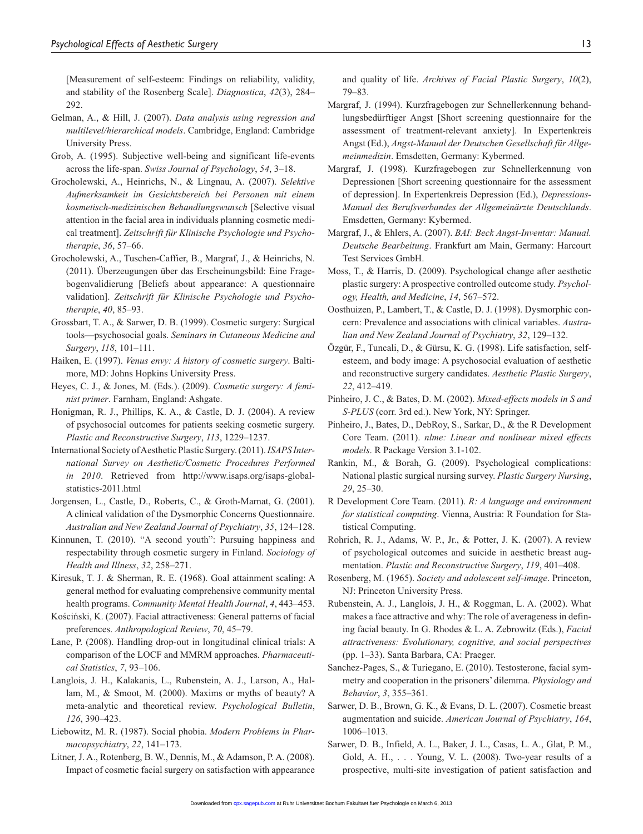[Measurement of self-esteem: Findings on reliability, validity, and stability of the Rosenberg Scale]. *Diagnostica*, *42*(3), 284– 292.

- Gelman, A., & Hill, J. (2007). *Data analysis using regression and multilevel/hierarchical models*. Cambridge, England: Cambridge University Press.
- Grob, A. (1995). Subjective well-being and significant life-events across the life-span. *Swiss Journal of Psychology*, *54*, 3–18.
- Grocholewski, A., Heinrichs, N., & Lingnau, A. (2007). *Selektive Aufmerksamkeit im Gesichtsbereich bei Personen mit einem kosmetisch-medizinischen Behandlungswunsch* [Selective visual attention in the facial area in individuals planning cosmetic medical treatment]. *Zeitschrift für Klinische Psychologie und Psychotherapie*, *36*, 57–66.
- Grocholewski, A., Tuschen-Caffier, B., Margraf, J., & Heinrichs, N. (2011). Überzeugungen über das Erscheinungsbild: Eine Fragebogenvalidierung [Beliefs about appearance: A questionnaire validation]. *Zeitschrift für Klinische Psychologie und Psychotherapie*, *40*, 85–93.
- Grossbart, T. A., & Sarwer, D. B. (1999). Cosmetic surgery: Surgical tools—psychosocial goals. *Seminars in Cutaneous Medicine and Surgery*, *118*, 101–111.
- Haiken, E. (1997). *Venus envy: A history of cosmetic surgery*. Baltimore, MD: Johns Hopkins University Press.
- Heyes, C. J., & Jones, M. (Eds.). (2009). *Cosmetic surgery: A feminist primer*. Farnham, England: Ashgate.
- Honigman, R. J., Phillips, K. A., & Castle, D. J. (2004). A review of psychosocial outcomes for patients seeking cosmetic surgery. *Plastic and Reconstructive Surgery*, *113*, 1229–1237.
- International Society of Aesthetic Plastic Surgery. (2011). *ISAPS International Survey on Aesthetic/Cosmetic Procedures Performed in 2010*. Retrieved from http://www.isaps.org/isaps-globalstatistics-2011.html
- Jorgensen, L., Castle, D., Roberts, C., & Groth-Marnat, G. (2001). A clinical validation of the Dysmorphic Concerns Questionnaire. *Australian and New Zealand Journal of Psychiatry*, *35*, 124–128.
- Kinnunen, T. (2010). "A second youth": Pursuing happiness and respectability through cosmetic surgery in Finland. *Sociology of Health and Illness*, *32*, 258–271.
- Kiresuk, T. J. & Sherman, R. E. (1968). Goal attainment scaling: A general method for evaluating comprehensive community mental health programs. *Community Mental Health Journal*, *4*, 443–453.
- Kościński, K. (2007). Facial attractiveness: General patterns of facial preferences. *Anthropological Review*, *70*, 45–79.
- Lane, P. (2008). Handling drop-out in longitudinal clinical trials: A comparison of the LOCF and MMRM approaches. *Pharmaceutical Statistics*, *7*, 93–106.
- Langlois, J. H., Kalakanis, L., Rubenstein, A. J., Larson, A., Hallam, M., & Smoot, M. (2000). Maxims or myths of beauty? A meta-analytic and theoretical review. *Psychological Bulletin*, *126*, 390–423.
- Liebowitz, M. R. (1987). Social phobia. *Modern Problems in Pharmacopsychiatry*, *22*, 141–173.
- Litner, J. A., Rotenberg, B. W., Dennis, M., & Adamson, P. A. (2008). Impact of cosmetic facial surgery on satisfaction with appearance

and quality of life. *Archives of Facial Plastic Surgery*, *10*(2), 79–83.

- Margraf, J. (1994). Kurzfragebogen zur Schnellerkennung behandlungsbedürftiger Angst [Short screening questionnaire for the assessment of treatment-relevant anxiety]. In Expertenkreis Angst (Ed.), *Angst-Manual der Deutschen Gesellschaft für Allgemeinmedizin*. Emsdetten, Germany: Kybermed.
- Margraf, J. (1998). Kurzfragebogen zur Schnellerkennung von Depressionen [Short screening questionnaire for the assessment of depression]. In Expertenkreis Depression (Ed.), *Depressions-Manual des Berufsverbandes der Allgemeinärzte Deutschlands*. Emsdetten, Germany: Kybermed.
- Margraf, J., & Ehlers, A. (2007). *BAI: Beck Angst-Inventar: Manual. Deutsche Bearbeitung*. Frankfurt am Main, Germany: Harcourt Test Services GmbH.
- Moss, T., & Harris, D. (2009). Psychological change after aesthetic plastic surgery: A prospective controlled outcome study. *Psychology, Health, and Medicine*, *14*, 567–572.
- Oosthuizen, P., Lambert, T., & Castle, D. J. (1998). Dysmorphic concern: Prevalence and associations with clinical variables. *Australian and New Zealand Journal of Psychiatry*, *32*, 129–132.
- Özgür, F., Tuncali, D., & Gürsu, K. G. (1998). Life satisfaction, selfesteem, and body image: A psychosocial evaluation of aesthetic and reconstructive surgery candidates. *Aesthetic Plastic Surgery*, *22*, 412–419.
- Pinheiro, J. C., & Bates, D. M. (2002). *Mixed-effects models in S and S-PLUS* (corr. 3rd ed.). New York, NY: Springer.
- Pinheiro, J., Bates, D., DebRoy, S., Sarkar, D., & the R Development Core Team. (2011). *nlme: Linear and nonlinear mixed effects models*. R Package Version 3.1-102.
- Rankin, M., & Borah, G. (2009). Psychological complications: National plastic surgical nursing survey. *Plastic Surgery Nursing*, *29*, 25–30.
- R Development Core Team. (2011). *R: A language and environment for statistical computing*. Vienna, Austria: R Foundation for Statistical Computing.
- Rohrich, R. J., Adams, W. P., Jr., & Potter, J. K. (2007). A review of psychological outcomes and suicide in aesthetic breast augmentation. *Plastic and Reconstructive Surgery*, *119*, 401–408.
- Rosenberg, M. (1965). *Society and adolescent self-image*. Princeton, NJ: Princeton University Press.
- Rubenstein, A. J., Langlois, J. H., & Roggman, L. A. (2002). What makes a face attractive and why: The role of averageness in defining facial beauty. In G. Rhodes & L. A. Zebrowitz (Eds.), *Facial attractiveness: Evolutionary, cognitive, and social perspectives* (pp. 1–33). Santa Barbara, CA: Praeger.
- Sanchez-Pages, S., & Turiegano, E. (2010). Testosterone, facial symmetry and cooperation in the prisoners' dilemma. *Physiology and Behavior*, *3*, 355–361.
- Sarwer, D. B., Brown, G. K., & Evans, D. L. (2007). Cosmetic breast augmentation and suicide. *American Journal of Psychiatry*, *164*, 1006–1013.
- Sarwer, D. B., Infield, A. L., Baker, J. L., Casas, L. A., Glat, P. M., Gold, A. H., . . . Young, V. L. (2008). Two-year results of a prospective, multi-site investigation of patient satisfaction and